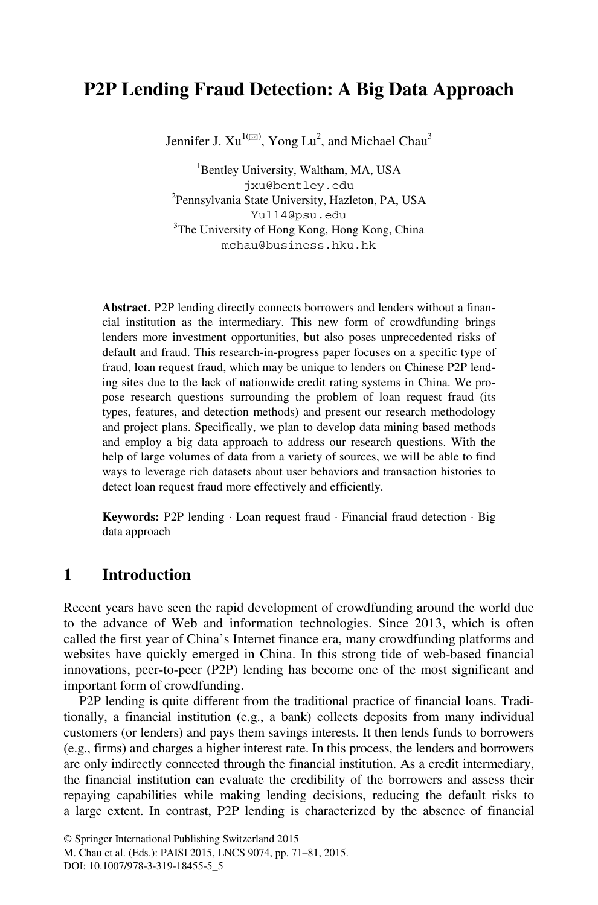# **P2P Lending Fraud Detection: A Big Data Approach**

Jennifer J.  $Xu^{1(\boxtimes)}$ , Yong Lu<sup>2</sup>, and Michael Chau<sup>3</sup>

<sup>1</sup>Bentley University, Waltham, MA, USA jxu@bentley.edu <sup>2</sup>Pennsylvania State University, Hazleton, PA, USA Yul14@psu.edu <sup>3</sup>The University of Hong Kong, Hong Kong, China mchau@business.hku.hk

**Abstract.** P2P lending directly connects borrowers and lenders without a financial institution as the intermediary. This new form of crowdfunding brings lenders more investment opportunities, but also poses unprecedented risks of default and fraud. This research-in-progress paper focuses on a specific type of fraud, loan request fraud, which may be unique to lenders on Chinese P2P lending sites due to the lack of nationwide credit rating systems in China. We propose research questions surrounding the problem of loan request fraud (its types, features, and detection methods) and present our research methodology and project plans. Specifically, we plan to develop data mining based methods and employ a big data approach to address our research questions. With the help of large volumes of data from a variety of sources, we will be able to find ways to leverage rich datasets about user behaviors and transaction histories to detect loan request fraud more effectively and efficiently.

**Keywords:** P2P lending · Loan request fraud · Financial fraud detection · Big data approach

# **1 Introduction**

Recent years have seen the rapid development of crowdfunding around the world due to the advance of Web and information technologies. Since 2013, which is often called the first year of China's Internet finance era, many crowdfunding platforms and websites have quickly emerged in China. In this strong tide of web-based financial innovations, peer-to-peer (P2P) lending has become one of the most significant and important form of crowdfunding.

P2P lending is quite different from the traditional practice of financial loans. Traditionally, a financial institution (e.g., a bank) collects deposits from many individual customers (or lenders) and pays them savings interests. It then lends funds to borrowers (e.g., firms) and charges a higher interest rate. In this process, the lenders and borrowers are only indirectly connected through the financial institution. As a credit intermediary, the financial institution can evaluate the credibility of the borrowers and assess their repaying capabilities while making lending decisions, reducing the default risks to a large extent. In contrast, P2P lending is characterized by the absence of financial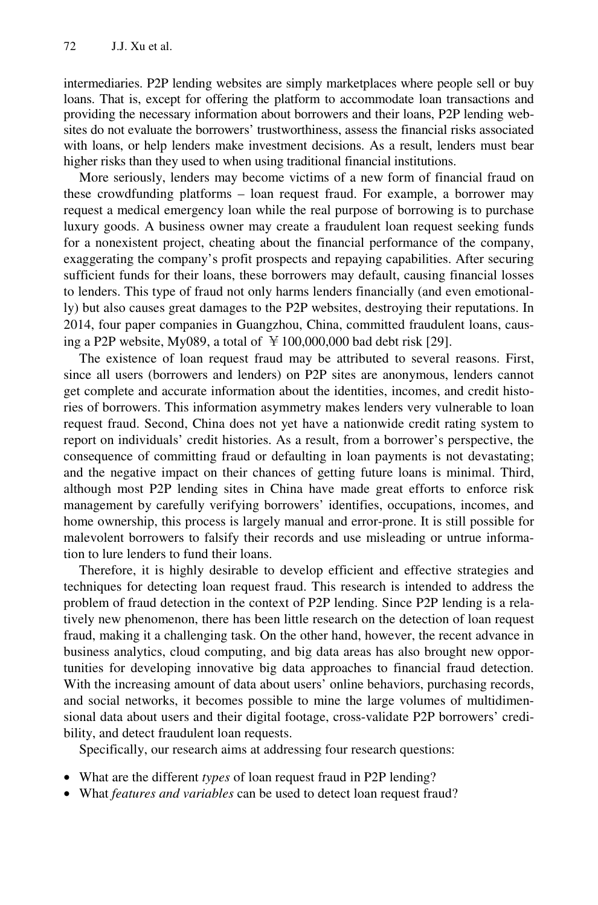intermediaries. P2P lending websites are simply marketplaces where people sell or buy loans. That is, except for offering the platform to accommodate loan transactions and providing the necessary information about borrowers and their loans, P2P lending websites do not evaluate the borrowers' trustworthiness, assess the financial risks associated with loans, or help lenders make investment decisions. As a result, lenders must bear higher risks than they used to when using traditional financial institutions.

More seriously, lenders may become victims of a new form of financial fraud on these crowdfunding platforms – loan request fraud. For example, a borrower may request a medical emergency loan while the real purpose of borrowing is to purchase luxury goods. A business owner may create a fraudulent loan request seeking funds for a nonexistent project, cheating about the financial performance of the company, exaggerating the company's profit prospects and repaying capabilities. After securing sufficient funds for their loans, these borrowers may default, causing financial losses to lenders. This type of fraud not only harms lenders financially (and even emotionally) but also causes great damages to the P2P websites, destroying their reputations. In 2014, four paper companies in Guangzhou, China, committed fraudulent loans, causing a P2P website, My089, a total of  $\pm 100,000,000$  bad debt risk [29].

The existence of loan request fraud may be attributed to several reasons. First, since all users (borrowers and lenders) on P2P sites are anonymous, lenders cannot get complete and accurate information about the identities, incomes, and credit histories of borrowers. This information asymmetry makes lenders very vulnerable to loan request fraud. Second, China does not yet have a nationwide credit rating system to report on individuals' credit histories. As a result, from a borrower's perspective, the consequence of committing fraud or defaulting in loan payments is not devastating; and the negative impact on their chances of getting future loans is minimal. Third, although most P2P lending sites in China have made great efforts to enforce risk management by carefully verifying borrowers' identifies, occupations, incomes, and home ownership, this process is largely manual and error-prone. It is still possible for malevolent borrowers to falsify their records and use misleading or untrue information to lure lenders to fund their loans.

Therefore, it is highly desirable to develop efficient and effective strategies and techniques for detecting loan request fraud. This research is intended to address the problem of fraud detection in the context of P2P lending. Since P2P lending is a relatively new phenomenon, there has been little research on the detection of loan request fraud, making it a challenging task. On the other hand, however, the recent advance in business analytics, cloud computing, and big data areas has also brought new opportunities for developing innovative big data approaches to financial fraud detection. With the increasing amount of data about users' online behaviors, purchasing records, and social networks, it becomes possible to mine the large volumes of multidimensional data about users and their digital footage, cross-validate P2P borrowers' credibility, and detect fraudulent loan requests.

Specifically, our research aims at addressing four research questions:

- What are the different *types* of loan request fraud in P2P lending?
- What *features and variables* can be used to detect loan request fraud?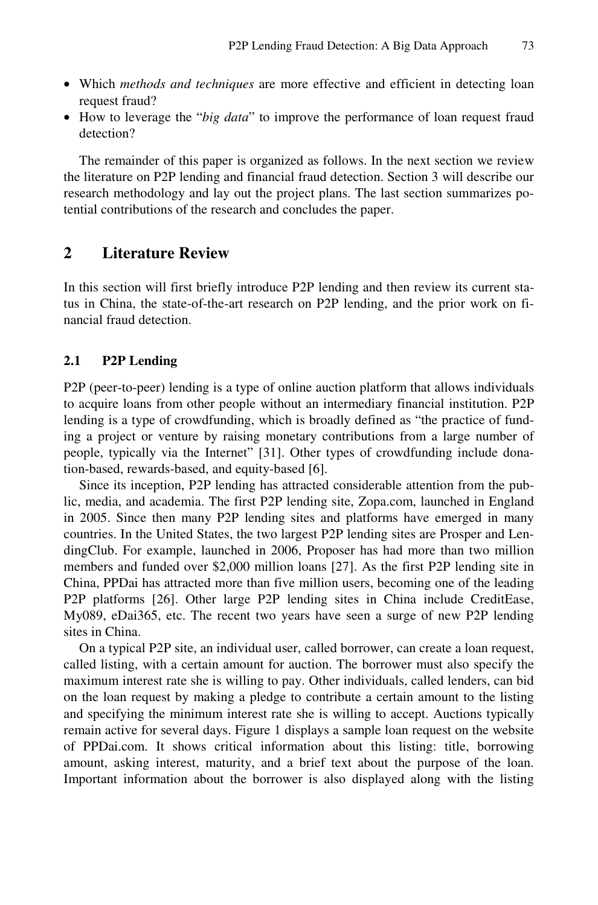- Which *methods and techniques* are more effective and efficient in detecting loan request fraud?
- How to leverage the "*big data*" to improve the performance of loan request fraud detection?

The remainder of this paper is organized as follows. In the next section we review the literature on P2P lending and financial fraud detection. Section 3 will describe our research methodology and lay out the project plans. The last section summarizes potential contributions of the research and concludes the paper.

### **2 Literature Review**

In this section will first briefly introduce P2P lending and then review its current status in China, the state-of-the-art research on P2P lending, and the prior work on financial fraud detection.

### **2.1 P2P Lending**

P2P (peer-to-peer) lending is a type of online auction platform that allows individuals to acquire loans from other people without an intermediary financial institution. P2P lending is a type of crowdfunding, which is broadly defined as "the practice of funding a project or venture by raising monetary contributions from a large number of people, typically via the Internet" [31]. Other types of crowdfunding include donation-based, rewards-based, and equity-based [6].

Since its inception, P2P lending has attracted considerable attention from the public, media, and academia. The first P2P lending site, Zopa.com, launched in England in 2005. Since then many P2P lending sites and platforms have emerged in many countries. In the United States, the two largest P2P lending sites are Prosper and LendingClub. For example, launched in 2006, Proposer has had more than two million members and funded over \$2,000 million loans [27]. As the first P2P lending site in China, PPDai has attracted more than five million users, becoming one of the leading P2P platforms [26]. Other large P2P lending sites in China include CreditEase, My089, eDai365, etc. The recent two years have seen a surge of new P2P lending sites in China.

On a typical P2P site, an individual user, called borrower, can create a loan request, called listing, with a certain amount for auction. The borrower must also specify the maximum interest rate she is willing to pay. Other individuals, called lenders, can bid on the loan request by making a pledge to contribute a certain amount to the listing and specifying the minimum interest rate she is willing to accept. Auctions typically remain active for several days. Figure 1 displays a sample loan request on the website of PPDai.com. It shows critical information about this listing: title, borrowing amount, asking interest, maturity, and a brief text about the purpose of the loan. Important information about the borrower is also displayed along with the listing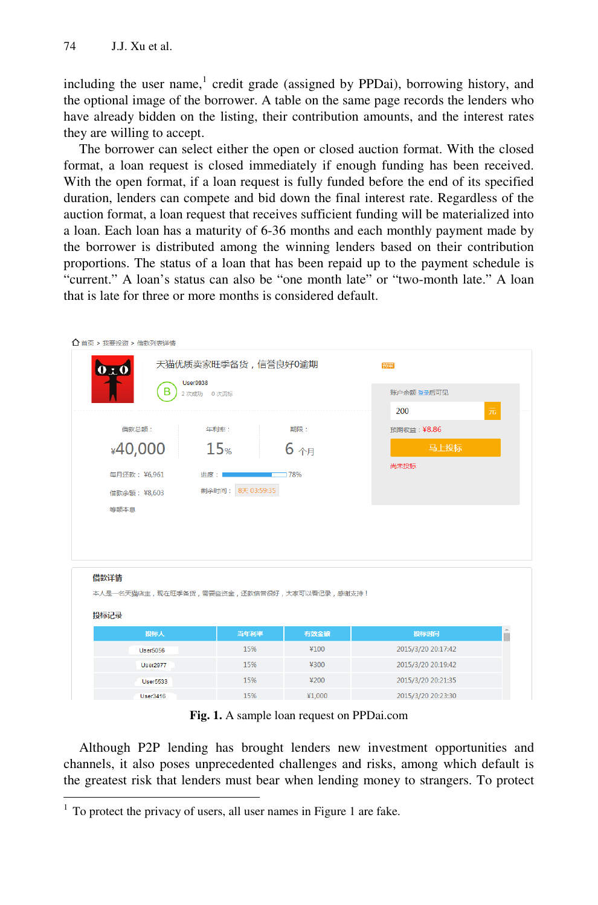$\blacktriangle$  and the matrix of the state of the state of the state of the state of the state of the state of the state of the state of the state of the state of the state of the state of the state of the state of the state of th

including the user name, $<sup>1</sup>$  credit grade (assigned by PPDai), borrowing history, and</sup> the optional image of the borrower. A table on the same page records the lenders who have already bidden on the listing, their contribution amounts, and the interest rates they are willing to accept.

The borrower can select either the open or closed auction format. With the closed format, a loan request is closed immediately if enough funding has been received. With the open format, if a loan request is fully funded before the end of its specified duration, lenders can compete and bid down the final interest rate. Regardless of the auction format, a loan request that receives sufficient funding will be materialized into a loan. Each loan has a maturity of 6-36 months and each monthly payment made by the borrower is distributed among the winning lenders based on their contribution proportions. The status of a loan that has been repaid up to the payment schedule is "current." A loan's status can also be "one month late" or "two-month late." A loan that is late for three or more months is considered default.

| 0x0             | 天猫优质卖家旺季备货,信誉良好0逾期<br><b>User9938</b><br>в<br>2次成功 0次流标 |                   |                      | 预审<br>账户余额 登录后可见   |                  |
|-----------------|---------------------------------------------------------|-------------------|----------------------|--------------------|------------------|
|                 |                                                         |                   |                      | 200                | $\overline{\pi}$ |
| 借款总额:           | 年利率:                                                    |                   | 期限:                  | 预期收益: ¥8.86        |                  |
| ¥40,000         | 15 <sub>%</sub>                                         |                   | $6 \nleftrightarrow$ | 马上投标               |                  |
| 每月还款: ¥6,961    | 进度: 1                                                   |                   | 178%                 | 尚未投标               |                  |
| 借款余额: ¥8,603    |                                                         | 剩余时间: 8天 03:59:35 |                      |                    |                  |
|                 |                                                         |                   |                      |                    |                  |
| 等额本息            |                                                         |                   |                      |                    |                  |
| 借款详情<br>投标记录    | 本人是一名天猫店主,现在旺季备货,需要些资金,还款信誉很好,大家可以看记录,感谢支持!             |                   |                      |                    |                  |
| 投标人             |                                                         | 当年利率              | 有效金额                 | 投标时间               | $\Delta$<br>ш    |
| <b>User5056</b> |                                                         | 15%               | ¥100                 | 2015/3/20 20:17:42 |                  |
| <b>User2977</b> |                                                         | 15%               | ¥300                 | 2015/3/20 20:19:42 |                  |
| <b>User5533</b> |                                                         | 15%               | ¥200                 | 2015/3/20 20:21:35 |                  |

**Fig. 1.** A sample loan request on PPDai.com

Although P2P lending has brought lenders new investment opportunities and channels, it also poses unprecedented challenges and risks, among which default is the greatest risk that lenders must bear when lending money to strangers. To protect

-

 $1$  To protect the privacy of users, all user names in Figure 1 are fake.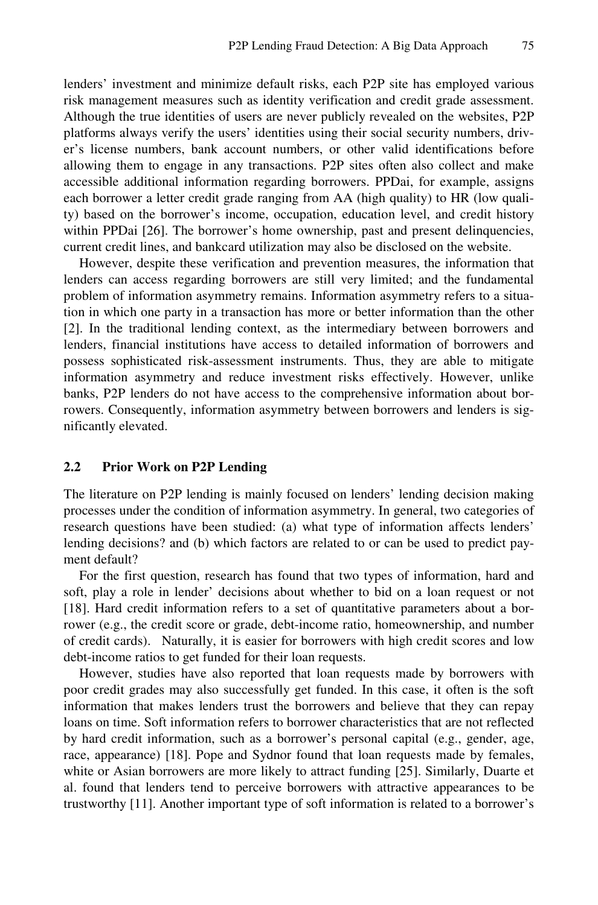lenders' investment and minimize default risks, each P2P site has employed various risk management measures such as identity verification and credit grade assessment. Although the true identities of users are never publicly revealed on the websites, P2P platforms always verify the users' identities using their social security numbers, driver's license numbers, bank account numbers, or other valid identifications before allowing them to engage in any transactions. P2P sites often also collect and make accessible additional information regarding borrowers. PPDai, for example, assigns each borrower a letter credit grade ranging from AA (high quality) to HR (low quality) based on the borrower's income, occupation, education level, and credit history within PPDai [26]. The borrower's home ownership, past and present delinquencies, current credit lines, and bankcard utilization may also be disclosed on the website.

However, despite these verification and prevention measures, the information that lenders can access regarding borrowers are still very limited; and the fundamental problem of information asymmetry remains. Information asymmetry refers to a situation in which one party in a transaction has more or better information than the other [2]. In the traditional lending context, as the intermediary between borrowers and lenders, financial institutions have access to detailed information of borrowers and possess sophisticated risk-assessment instruments. Thus, they are able to mitigate information asymmetry and reduce investment risks effectively. However, unlike banks, P2P lenders do not have access to the comprehensive information about borrowers. Consequently, information asymmetry between borrowers and lenders is significantly elevated.

#### **2.2 Prior Work on P2P Lending**

The literature on P2P lending is mainly focused on lenders' lending decision making processes under the condition of information asymmetry. In general, two categories of research questions have been studied: (a) what type of information affects lenders' lending decisions? and (b) which factors are related to or can be used to predict payment default?

For the first question, research has found that two types of information, hard and soft, play a role in lender' decisions about whether to bid on a loan request or not [18]. Hard credit information refers to a set of quantitative parameters about a borrower (e.g., the credit score or grade, debt-income ratio, homeownership, and number of credit cards). Naturally, it is easier for borrowers with high credit scores and low debt-income ratios to get funded for their loan requests.

However, studies have also reported that loan requests made by borrowers with poor credit grades may also successfully get funded. In this case, it often is the soft information that makes lenders trust the borrowers and believe that they can repay loans on time. Soft information refers to borrower characteristics that are not reflected by hard credit information, such as a borrower's personal capital (e.g., gender, age, race, appearance) [18]. Pope and Sydnor found that loan requests made by females, white or Asian borrowers are more likely to attract funding [25]. Similarly, Duarte et al. found that lenders tend to perceive borrowers with attractive appearances to be trustworthy [11]. Another important type of soft information is related to a borrower's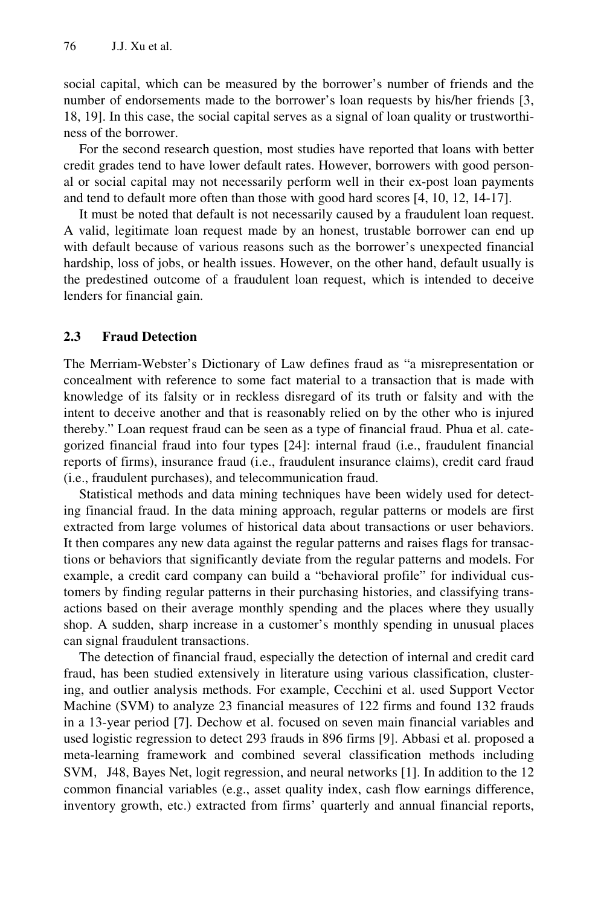social capital, which can be measured by the borrower's number of friends and the number of endorsements made to the borrower's loan requests by his/her friends [3, 18, 19]. In this case, the social capital serves as a signal of loan quality or trustworthiness of the borrower.

For the second research question, most studies have reported that loans with better credit grades tend to have lower default rates. However, borrowers with good personal or social capital may not necessarily perform well in their ex-post loan payments and tend to default more often than those with good hard scores [4, 10, 12, 14-17].

It must be noted that default is not necessarily caused by a fraudulent loan request. A valid, legitimate loan request made by an honest, trustable borrower can end up with default because of various reasons such as the borrower's unexpected financial hardship, loss of jobs, or health issues. However, on the other hand, default usually is the predestined outcome of a fraudulent loan request, which is intended to deceive lenders for financial gain.

### **2.3 Fraud Detection**

The Merriam-Webster's Dictionary of Law defines fraud as "a misrepresentation or concealment with reference to some fact material to a transaction that is made with knowledge of its falsity or in reckless disregard of its truth or falsity and with the intent to deceive another and that is reasonably relied on by the other who is injured thereby." Loan request fraud can be seen as a type of financial fraud. Phua et al. categorized financial fraud into four types [24]: internal fraud (i.e., fraudulent financial reports of firms), insurance fraud (i.e., fraudulent insurance claims), credit card fraud (i.e., fraudulent purchases), and telecommunication fraud.

Statistical methods and data mining techniques have been widely used for detecting financial fraud. In the data mining approach, regular patterns or models are first extracted from large volumes of historical data about transactions or user behaviors. It then compares any new data against the regular patterns and raises flags for transactions or behaviors that significantly deviate from the regular patterns and models. For example, a credit card company can build a "behavioral profile" for individual customers by finding regular patterns in their purchasing histories, and classifying transactions based on their average monthly spending and the places where they usually shop. A sudden, sharp increase in a customer's monthly spending in unusual places can signal fraudulent transactions.

The detection of financial fraud, especially the detection of internal and credit card fraud, has been studied extensively in literature using various classification, clustering, and outlier analysis methods. For example, Cecchini et al. used Support Vector Machine (SVM) to analyze 23 financial measures of 122 firms and found 132 frauds in a 13-year period [7]. Dechow et al. focused on seven main financial variables and used logistic regression to detect 293 frauds in 896 firms [9]. Abbasi et al. proposed a meta-learning framework and combined several classification methods including SVM, J48, Bayes Net, logit regression, and neural networks [1]. In addition to the 12 common financial variables (e.g., asset quality index, cash flow earnings difference, inventory growth, etc.) extracted from firms' quarterly and annual financial reports,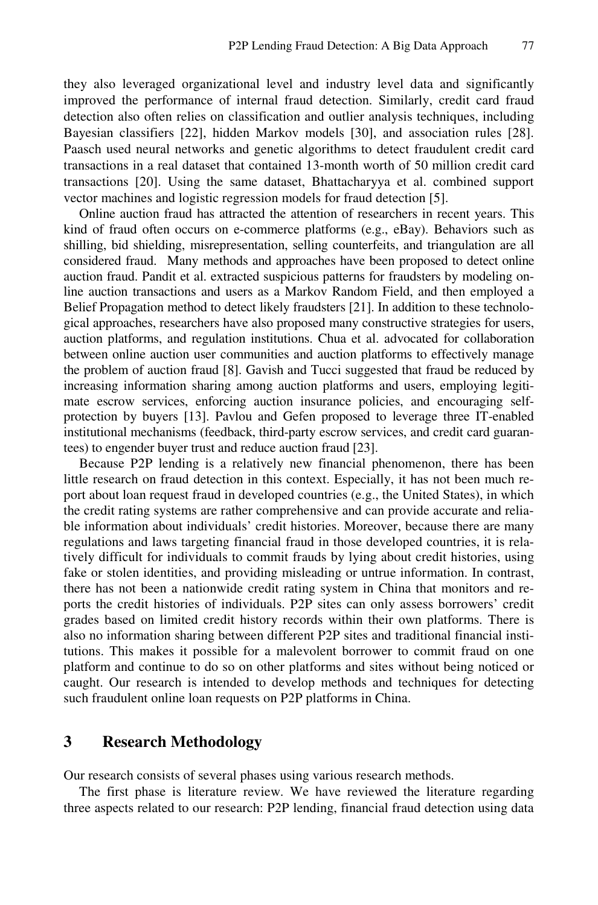they also leveraged organizational level and industry level data and significantly improved the performance of internal fraud detection. Similarly, credit card fraud detection also often relies on classification and outlier analysis techniques, including Bayesian classifiers [22], hidden Markov models [30], and association rules [28]. Paasch used neural networks and genetic algorithms to detect fraudulent credit card transactions in a real dataset that contained 13-month worth of 50 million credit card transactions [20]. Using the same dataset, Bhattacharyya et al. combined support vector machines and logistic regression models for fraud detection [5].

Online auction fraud has attracted the attention of researchers in recent years. This kind of fraud often occurs on e-commerce platforms (e.g., eBay). Behaviors such as shilling, bid shielding, misrepresentation, selling counterfeits, and triangulation are all considered fraud. Many methods and approaches have been proposed to detect online auction fraud. Pandit et al. extracted suspicious patterns for fraudsters by modeling online auction transactions and users as a Markov Random Field, and then employed a Belief Propagation method to detect likely fraudsters [21]. In addition to these technological approaches, researchers have also proposed many constructive strategies for users, auction platforms, and regulation institutions. Chua et al. advocated for collaboration between online auction user communities and auction platforms to effectively manage the problem of auction fraud [8]. Gavish and Tucci suggested that fraud be reduced by increasing information sharing among auction platforms and users, employing legitimate escrow services, enforcing auction insurance policies, and encouraging selfprotection by buyers [13]. Pavlou and Gefen proposed to leverage three IT-enabled institutional mechanisms (feedback, third-party escrow services, and credit card guarantees) to engender buyer trust and reduce auction fraud [23].

Because P2P lending is a relatively new financial phenomenon, there has been little research on fraud detection in this context. Especially, it has not been much report about loan request fraud in developed countries (e.g., the United States), in which the credit rating systems are rather comprehensive and can provide accurate and reliable information about individuals' credit histories. Moreover, because there are many regulations and laws targeting financial fraud in those developed countries, it is relatively difficult for individuals to commit frauds by lying about credit histories, using fake or stolen identities, and providing misleading or untrue information. In contrast, there has not been a nationwide credit rating system in China that monitors and reports the credit histories of individuals. P2P sites can only assess borrowers' credit grades based on limited credit history records within their own platforms. There is also no information sharing between different P2P sites and traditional financial institutions. This makes it possible for a malevolent borrower to commit fraud on one platform and continue to do so on other platforms and sites without being noticed or caught. Our research is intended to develop methods and techniques for detecting such fraudulent online loan requests on P2P platforms in China.

### **3 Research Methodology**

Our research consists of several phases using various research methods.

The first phase is literature review. We have reviewed the literature regarding three aspects related to our research: P2P lending, financial fraud detection using data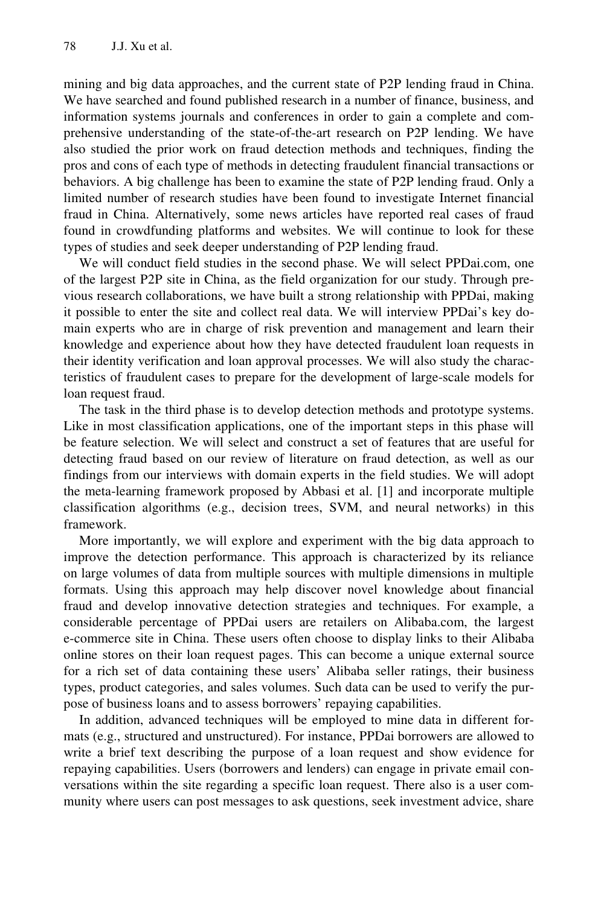mining and big data approaches, and the current state of P2P lending fraud in China. We have searched and found published research in a number of finance, business, and information systems journals and conferences in order to gain a complete and comprehensive understanding of the state-of-the-art research on P2P lending. We have also studied the prior work on fraud detection methods and techniques, finding the pros and cons of each type of methods in detecting fraudulent financial transactions or behaviors. A big challenge has been to examine the state of P2P lending fraud. Only a limited number of research studies have been found to investigate Internet financial fraud in China. Alternatively, some news articles have reported real cases of fraud found in crowdfunding platforms and websites. We will continue to look for these types of studies and seek deeper understanding of P2P lending fraud.

We will conduct field studies in the second phase. We will select PPDai.com, one of the largest P2P site in China, as the field organization for our study. Through previous research collaborations, we have built a strong relationship with PPDai, making it possible to enter the site and collect real data. We will interview PPDai's key domain experts who are in charge of risk prevention and management and learn their knowledge and experience about how they have detected fraudulent loan requests in their identity verification and loan approval processes. We will also study the characteristics of fraudulent cases to prepare for the development of large-scale models for loan request fraud.

The task in the third phase is to develop detection methods and prototype systems. Like in most classification applications, one of the important steps in this phase will be feature selection. We will select and construct a set of features that are useful for detecting fraud based on our review of literature on fraud detection, as well as our findings from our interviews with domain experts in the field studies. We will adopt the meta-learning framework proposed by Abbasi et al. [1] and incorporate multiple classification algorithms (e.g., decision trees, SVM, and neural networks) in this framework.

More importantly, we will explore and experiment with the big data approach to improve the detection performance. This approach is characterized by its reliance on large volumes of data from multiple sources with multiple dimensions in multiple formats. Using this approach may help discover novel knowledge about financial fraud and develop innovative detection strategies and techniques. For example, a considerable percentage of PPDai users are retailers on Alibaba.com, the largest e-commerce site in China. These users often choose to display links to their Alibaba online stores on their loan request pages. This can become a unique external source for a rich set of data containing these users' Alibaba seller ratings, their business types, product categories, and sales volumes. Such data can be used to verify the purpose of business loans and to assess borrowers' repaying capabilities.

In addition, advanced techniques will be employed to mine data in different formats (e.g., structured and unstructured). For instance, PPDai borrowers are allowed to write a brief text describing the purpose of a loan request and show evidence for repaying capabilities. Users (borrowers and lenders) can engage in private email conversations within the site regarding a specific loan request. There also is a user community where users can post messages to ask questions, seek investment advice, share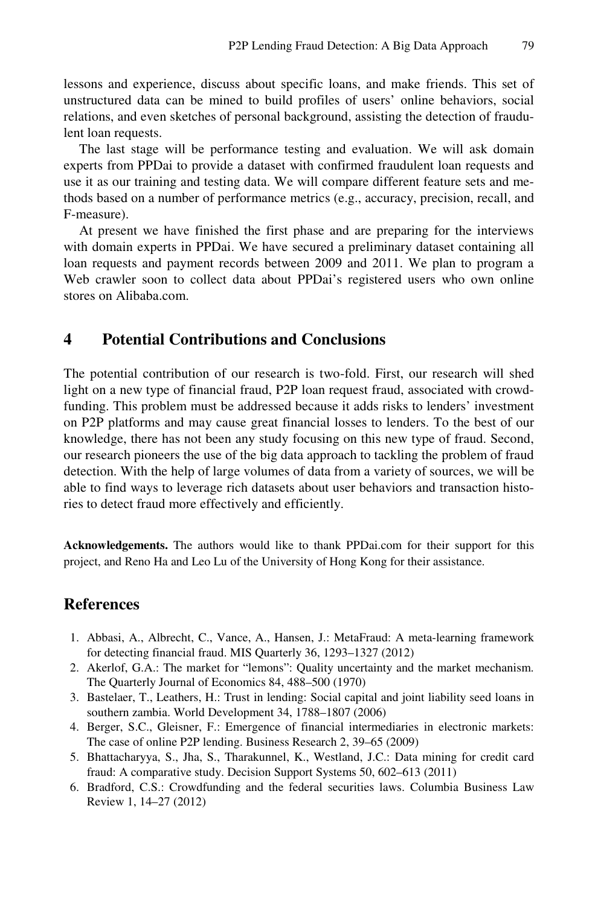lessons and experience, discuss about specific loans, and make friends. This set of unstructured data can be mined to build profiles of users' online behaviors, social relations, and even sketches of personal background, assisting the detection of fraudulent loan requests.

The last stage will be performance testing and evaluation. We will ask domain experts from PPDai to provide a dataset with confirmed fraudulent loan requests and use it as our training and testing data. We will compare different feature sets and methods based on a number of performance metrics (e.g., accuracy, precision, recall, and F-measure).

At present we have finished the first phase and are preparing for the interviews with domain experts in PPDai. We have secured a preliminary dataset containing all loan requests and payment records between 2009 and 2011. We plan to program a Web crawler soon to collect data about PPDai's registered users who own online stores on Alibaba.com.

# **4 Potential Contributions and Conclusions**

The potential contribution of our research is two-fold. First, our research will shed light on a new type of financial fraud, P2P loan request fraud, associated with crowdfunding. This problem must be addressed because it adds risks to lenders' investment on P2P platforms and may cause great financial losses to lenders. To the best of our knowledge, there has not been any study focusing on this new type of fraud. Second, our research pioneers the use of the big data approach to tackling the problem of fraud detection. With the help of large volumes of data from a variety of sources, we will be able to find ways to leverage rich datasets about user behaviors and transaction histories to detect fraud more effectively and efficiently.

**Acknowledgements.** The authors would like to thank PPDai.com for their support for this project, and Reno Ha and Leo Lu of the University of Hong Kong for their assistance.

# **References**

- 1. Abbasi, A., Albrecht, C., Vance, A., Hansen, J.: MetaFraud: A meta-learning framework for detecting financial fraud. MIS Quarterly 36, 1293–1327 (2012)
- 2. Akerlof, G.A.: The market for "lemons": Quality uncertainty and the market mechanism. The Quarterly Journal of Economics 84, 488–500 (1970)
- 3. Bastelaer, T., Leathers, H.: Trust in lending: Social capital and joint liability seed loans in southern zambia. World Development 34, 1788–1807 (2006)
- 4. Berger, S.C., Gleisner, F.: Emergence of financial intermediaries in electronic markets: The case of online P2P lending. Business Research 2, 39–65 (2009)
- 5. Bhattacharyya, S., Jha, S., Tharakunnel, K., Westland, J.C.: Data mining for credit card fraud: A comparative study. Decision Support Systems 50, 602–613 (2011)
- 6. Bradford, C.S.: Crowdfunding and the federal securities laws. Columbia Business Law Review 1, 14–27 (2012)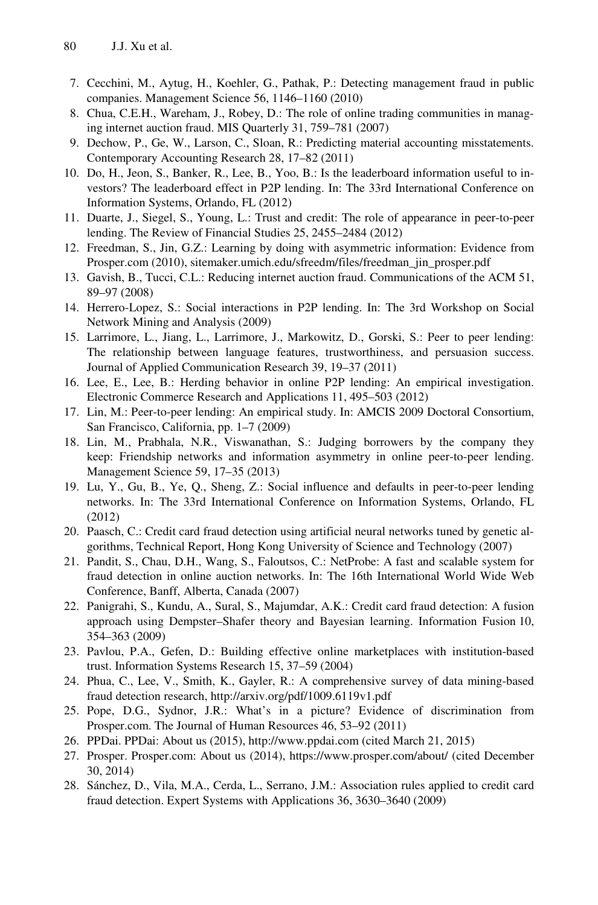- 7. Cecchini, M., Aytug, H., Koehler, G., Pathak, P.: Detecting management fraud in public companies. Management Science 56, 1146–1160 (2010)
- 8. Chua, C.E.H., Wareham, J., Robey, D.: The role of online trading communities in managing internet auction fraud. MIS Quarterly 31, 759–781 (2007)
- 9. Dechow, P., Ge, W., Larson, C., Sloan, R.: Predicting material accounting misstatements. Contemporary Accounting Research 28, 17–82 (2011)
- 10. Do, H., Jeon, S., Banker, R., Lee, B., Yoo, B.: Is the leaderboard information useful to investors? The leaderboard effect in P2P lending. In: The 33rd International Conference on Information Systems, Orlando, FL (2012)
- 11. Duarte, J., Siegel, S., Young, L.: Trust and credit: The role of appearance in peer-to-peer lending. The Review of Financial Studies 25, 2455–2484 (2012)
- 12. Freedman, S., Jin, G.Z.: Learning by doing with asymmetric information: Evidence from Prosper.com (2010), sitemaker.umich.edu/sfreedm/files/freedman\_jin\_prosper.pdf
- 13. Gavish, B., Tucci, C.L.: Reducing internet auction fraud. Communications of the ACM 51, 89–97 (2008)
- 14. Herrero-Lopez, S.: Social interactions in P2P lending. In: The 3rd Workshop on Social Network Mining and Analysis (2009)
- 15. Larrimore, L., Jiang, L., Larrimore, J., Markowitz, D., Gorski, S.: Peer to peer lending: The relationship between language features, trustworthiness, and persuasion success. Journal of Applied Communication Research 39, 19–37 (2011)
- 16. Lee, E., Lee, B.: Herding behavior in online P2P lending: An empirical investigation. Electronic Commerce Research and Applications 11, 495–503 (2012)
- 17. Lin, M.: Peer-to-peer lending: An empirical study. In: AMCIS 2009 Doctoral Consortium, San Francisco, California, pp. 1–7 (2009)
- 18. Lin, M., Prabhala, N.R., Viswanathan, S.: Judging borrowers by the company they keep: Friendship networks and information asymmetry in online peer-to-peer lending. Management Science 59, 17–35 (2013)
- 19. Lu, Y., Gu, B., Ye, Q., Sheng, Z.: Social influence and defaults in peer-to-peer lending networks. In: The 33rd International Conference on Information Systems, Orlando, FL (2012)
- 20. Paasch, C.: Credit card fraud detection using artificial neural networks tuned by genetic algorithms, Technical Report, Hong Kong University of Science and Technology (2007)
- 21. Pandit, S., Chau, D.H., Wang, S., Faloutsos, C.: NetProbe: A fast and scalable system for fraud detection in online auction networks. In: The 16th International World Wide Web Conference, Banff, Alberta, Canada (2007)
- 22. Panigrahi, S., Kundu, A., Sural, S., Majumdar, A.K.: Credit card fraud detection: A fusion approach using Dempster–Shafer theory and Bayesian learning. Information Fusion 10, 354–363 (2009)
- 23. Pavlou, P.A., Gefen, D.: Building effective online marketplaces with institution-based trust. Information Systems Research 15, 37–59 (2004)
- 24. Phua, C., Lee, V., Smith, K., Gayler, R.: A comprehensive survey of data mining-based fraud detection research, http://arxiv.org/pdf/1009.6119v1.pdf
- 25. Pope, D.G., Sydnor, J.R.: What's in a picture? Evidence of discrimination from Prosper.com. The Journal of Human Resources 46, 53–92 (2011)
- 26. PPDai. PPDai: About us (2015), http://www.ppdai.com (cited March 21, 2015)
- 27. Prosper. Prosper.com: About us (2014), https://www.prosper.com/about/ (cited December 30, 2014)
- 28. Sánchez, D., Vila, M.A., Cerda, L., Serrano, J.M.: Association rules applied to credit card fraud detection. Expert Systems with Applications 36, 3630–3640 (2009)